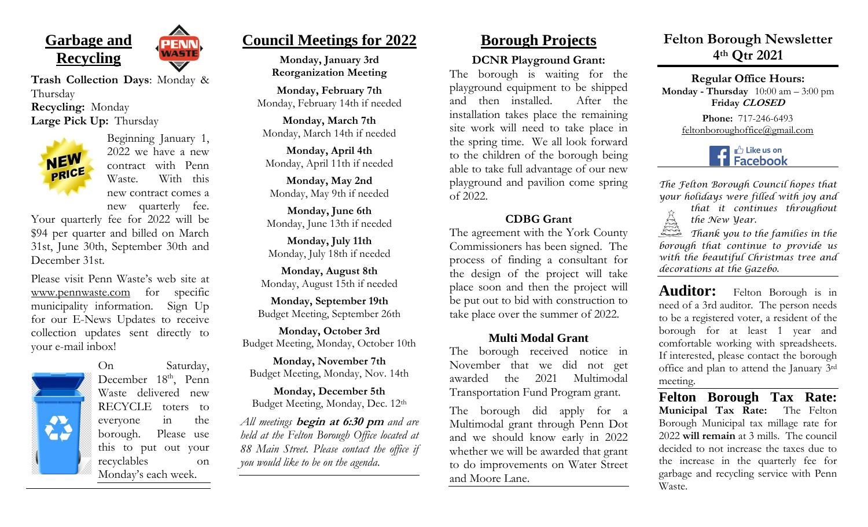





Beginning January 1, 2022 we have a new contract with Penn Waste. With this new contract comes a new quarterly fee.

AGT

Your quarterly fee for 2022 will be \$94 per quarter and billed on March 31st, June 30th, September 30th and December 31st.

Please visit Penn Waste's web site at [www.pennwaste.com](http://www.pennwaste.com/) for specific municipality information. Sign Up for our E-News Updates to receive collection updates sent directly to your e-mail inbox!



On Saturday, December  $18<sup>th</sup>$ , Penn Waste delivered new RECYCLE toters to everyone in the borough. Please use this to put out your recyclables on Monday's each week.

# **Council Meetings for 2022**

**Monday, January 3rd Reorganization Meeting**

**Monday, February 7th** Monday, February 14th if needed

**Monday, March 7th** Monday, March 14th if needed

**Monday, April 4th** Monday, April 11th if needed

**Monday, May 2nd** Monday, May 9th if needed

**Monday, June 6th** Monday, June 13th if needed

**Monday, July 11th** Monday, July 18th if needed

**Monday, August 8th** Monday, August 15th if needed

**Monday, September 19th** Budget Meeting, September 26th

**Monday, October 3rd** Budget Meeting, Monday, October 10th

**Monday, November 7th** Budget Meeting, Monday, Nov. 14th

**Monday, December 5th** Budget Meeting, Monday, Dec. 12th

*All meetings* **begin at 6:30 pm** *and are held at the Felton Borough Office located at 88 Main Street. Please contact the office if you would like to be on the agenda*.

# **Borough Projects**

#### **DCNR Playground Grant:**

The borough is waiting for the playground equipment to be shipped and then installed. After the installation takes place the remaining site work will need to take place in the spring time. We all look forward to the children of the borough being able to take full advantage of our new playground and pavilion come spring of 2022.

#### **CDBG Grant**

The agreement with the York County Commissioners has been signed. The process of finding a consultant for the design of the project will take place soon and then the project will be put out to bid with construction to take place over the summer of 2022.

### **Multi Modal Grant**

The borough received notice in November that we did not get awarded the 2021 Multimodal Transportation Fund Program grant.

The borough did apply for a Multimodal grant through Penn Dot and we should know early in 2022 whether we will be awarded that grant to do improvements on Water Street and Moore Lane.

# **Felton Borough Newsletter 4th Qtr 2021**

**Regular Office Hours: Monday - Thursday** 10:00 am – 3:00 pm **Friday CLOSED**

> **Phone:** 717-246-6493 feltonboroughoffice@gmail.com



*The Felton Borough Council hopes that your holidays were filled with joy and* 

*that it continues throughout the New Year.*

MAR *Thank you to the families in the borough that continue to provide us with the beautiful Christmas tree and decorations at the Gazebo.*

Auditor: Felton Borough is in need of a 3rd auditor. The person needs to be a registered voter, a resident of the borough for at least 1 year and comfortable working with spreadsheets. If interested, please contact the borough office and plan to attend the January 3rd meeting.

**Felton Borough Tax Rate: Municipal Tax Rate:** The Felton Borough Municipal tax millage rate for 2022 **will remain** at 3 mills. The council decided to not increase the taxes due to the increase in the quarterly fee for garbage and recycling service with Penn Waste.